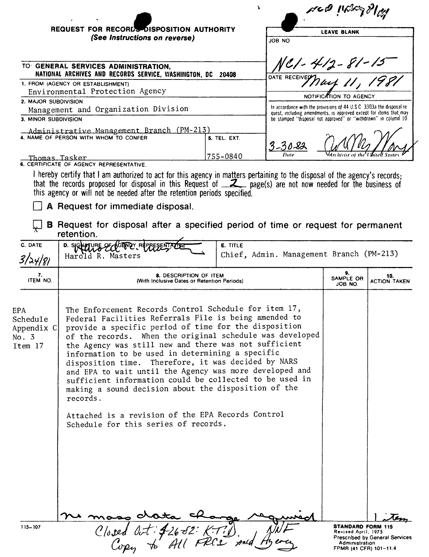|                                 | <b>REQUEST FOR RECORDS DISPOSITION AUTHORITY</b>                                                                                                                                                                                                                                                                             |                                                                              |                 | meg incretallig<br><b>LEAVE BLANK</b>                              |                                                                       |                            |  |
|---------------------------------|------------------------------------------------------------------------------------------------------------------------------------------------------------------------------------------------------------------------------------------------------------------------------------------------------------------------------|------------------------------------------------------------------------------|-----------------|--------------------------------------------------------------------|-----------------------------------------------------------------------|----------------------------|--|
|                                 | (See Instructions on reverse)                                                                                                                                                                                                                                                                                                |                                                                              |                 | <b>JOB NO</b>                                                      |                                                                       |                            |  |
|                                 | TO GENERAL SERVICES ADMINISTRATION,<br>NATIONAL ARCHIVES AND RECORDS SERVICE, WASHINGTON, DC 20408                                                                                                                                                                                                                           | NC1 - 412 - 81 - 15<br><sup>OATE RECEIVE</sup> T ) act, 11, 1981             |                 |                                                                    |                                                                       |                            |  |
|                                 | 1. FROM (AGENCY OR ESTABLISHMENT)                                                                                                                                                                                                                                                                                            |                                                                              |                 |                                                                    |                                                                       |                            |  |
| Environmental Protection Agency |                                                                                                                                                                                                                                                                                                                              |                                                                              |                 | NOTIFICATION TO AGENCY                                             |                                                                       |                            |  |
| 2. MAJOR SUBDIVISION            |                                                                                                                                                                                                                                                                                                                              |                                                                              |                 |                                                                    | In accordance with the provisions of 44 U.S.C. 3303a the disposal re- |                            |  |
|                                 | Management and Organization Division                                                                                                                                                                                                                                                                                         |                                                                              |                 | quest, including amendments, is approved except for items that may |                                                                       |                            |  |
| 3. MINOR SUBDIVISION            |                                                                                                                                                                                                                                                                                                                              |                                                                              |                 | be stamped "disposal not approved" or "withdrawn" in column 10     |                                                                       |                            |  |
|                                 | Administrative Management Branch (PM-213)<br>4. NAME OF PERSON WITH WHOM TO CONFER                                                                                                                                                                                                                                           |                                                                              | 5. TEL. EXT.    |                                                                    |                                                                       |                            |  |
| <u>Thomas Tasker</u>            |                                                                                                                                                                                                                                                                                                                              |                                                                              | 755-0840        |                                                                    |                                                                       |                            |  |
|                                 | 6. CERTIFICATE OF AGENCY REPRESENTATIVE                                                                                                                                                                                                                                                                                      |                                                                              |                 |                                                                    |                                                                       |                            |  |
|                                 | I hereby certify that I am authorized to act for this agency in matters pertaining to the disposal of the agency's records;<br>that the records proposed for disposal in this Request of <u>Z</u> page(s) are not now needed for the business of<br>this agency or will not be needed after the retention periods specified. |                                                                              |                 |                                                                    |                                                                       |                            |  |
|                                 | A Request for immediate disposal.                                                                                                                                                                                                                                                                                            |                                                                              |                 |                                                                    |                                                                       |                            |  |
|                                 | <b>B</b> Request for disposal after a specified period of time or request for permanent<br>retention.                                                                                                                                                                                                                        |                                                                              |                 |                                                                    |                                                                       |                            |  |
| C. DATE<br>3/24/81              | D. SIGNATURE OF<br>Harold R. Masters                                                                                                                                                                                                                                                                                         |                                                                              | <b>E. TITLE</b> | Chief, Admin. Management Branch (PM-213)                           |                                                                       |                            |  |
| 7.<br>ITEM NO.                  |                                                                                                                                                                                                                                                                                                                              | <b>8. DESCRIPTION OF ITEM</b><br>(With Inclusive Dates or Retention Periods) |                 |                                                                    | 9.<br>SAMPLE OR<br>JOB NO.                                            | 10.<br><b>ACTION TAKEN</b> |  |

| <b>EPA</b><br>Schedule<br>Appendix C<br>No. 3<br>Item 17 | The Enforcement Records Control Schedule for item 17,<br>Federal Facilities Referrals File is being amended to<br>provide a specific period of time for the disposition<br>of the records. When the original schedule was developed<br>the Agency was still new and there was not sufficient<br>information to be used in determining a specific<br>disposition time. Therefore, it was decided by NARS<br>and EPA to wait until the Agency was more developed and<br>sufficient information could be collected to be used in<br>making a sound decision about the disposition of the<br>records.<br>Attached is a revision of the EPA Records Control<br>Schedule for this series of records. |                                                                                                                                      |
|----------------------------------------------------------|------------------------------------------------------------------------------------------------------------------------------------------------------------------------------------------------------------------------------------------------------------------------------------------------------------------------------------------------------------------------------------------------------------------------------------------------------------------------------------------------------------------------------------------------------------------------------------------------------------------------------------------------------------------------------------------------|--------------------------------------------------------------------------------------------------------------------------------------|
| $115 - 107$                                              | o crata ch<br>Closed Oct: 426-82: KT?)                                                                                                                                                                                                                                                                                                                                                                                                                                                                                                                                                                                                                                                         | <b>STANDARD FORM 115</b><br>Revised April, 1975<br><b>Prescribed by General Services</b><br>Administration<br>FPMR (41 CFR) 101-11.4 |